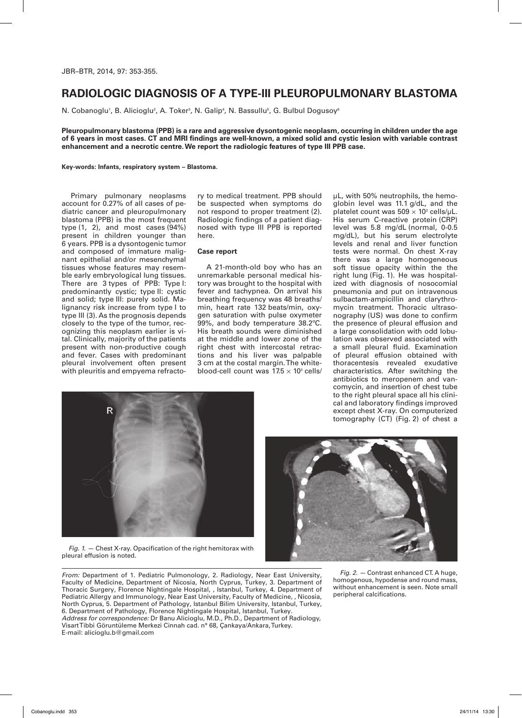## **RADIOLOGIC DIAGNOSIS OF A TYPE-III PLEUROPULMONARY BLASTOMA**

N. Cobanoglu<sup>1</sup>, B. Alicioglu<sup>2</sup>, A. Toker<sup>3</sup>, N. Galip<sup>4</sup>, N. Bassullu<sup>5</sup>, G. Bulbul Dogusoy<sup>6</sup>

**Pleuropulmonary blastoma (PPB) is a rare and aggressive dysontogenic neoplasm, occurring in children under the age of 6 years in most cases. CT and MRI findings are well-known, a mixed solid and cystic lesion with variable contrast enhancement and a necrotic centre. We report the radiologic features of type III PPB case.**

**Key-words: Infants, respiratory system – Blastoma.**

Primary pulmonary neoplasms account for 0.27% of all cases of pediatric cancer and pleuropulmonary blastoma (PPB) is the most frequent type (1, 2), and most cases (94%) present in children younger than 6 years. PPB is a dysontogenic tumor and composed of immature malignant epithelial and/or mesenchymal tissues whose features may resemble early embryological lung tissues. There are 3 types of PPB: Type I: predominantly cystic; type II: cystic and solid; type III: purely solid. Malignancy risk increase from type I to type III (3). As the prognosis depends closely to the type of the tumor, recognizing this neoplasm earlier is vital. Clinically, majority of the patients present with non-productive cough and fever. Cases with predominant pleural involvement often present with pleuritis and empyema refracto-

ry to medical treatment. PPB should be suspected when symptoms do not respond to proper treatment (2). Radiologic findings of a patient diagnosed with type III PPB is reported here.

## **Case report**

A 21-month-old boy who has an unremarkable personal medical history was brought to the hospital with fever and tachypnea. On arrival his breathing frequency was 48 breaths/ min, heart rate 132 beats/min, oxygen saturation with pulse oxymeter 99%, and body temperature 38.2ºC. His breath sounds were diminished at the middle and lower zone of the right chest with intercostal retractions and his liver was palpable 3 cm at the costal margin. The whiteblood-cell count was  $17.5 \times 10^3$  cells/

μL, with 50% neutrophils, the hemoglobin level was 11.1 g/dL, and the platelet count was  $509 \times 10^3$  cells/µL. His serum C-reactive protein (CRP) level was 5.8 mg/dL (normal, 0-0.5 mg/dL), but his serum electrolyte levels and renal and liver function tests were normal. On chest X-ray there was a large homogeneous soft tissue opacity within the the right lung (Fig. 1). He was hospitalized with diagnosis of nosocomial pneumonia and put on intravenous sulbactam-ampicillin and clarythromycin treatment. Thoracic ultrasonography (US) was done to confirm the presence of pleural effusion and a large consolidation with odd lobulation was observed associated with a small pleural fluid. Examination of pleural effusion obtained with thoracentesis revealed exudative characteristics. After switching the antibiotics to meropenem and vancomycin, and insertion of chest tube to the right pleural space all his clinical and laboratory findings improved except chest X-ray. On computerized tomography (CT) (Fig. 2) of chest a



*Fig. 1. —* Chest X-ray. Opacification of the right hemitorax with pleural effusion is noted.



*From:* Department of 1. Pediatric Pulmonology, 2. Radiology, Near East University, Faculty of Medicine, Department of Nicosia, North Cyprus, Turkey, 3. Department of Thoracic Surgery, Florence Nightingale Hospital, , Istanbul, Turkey, 4. Department of Pediatric Allergy and Immunology, Near East University, Faculty of Medicine, , Nicosia, North Cyprus, 5. Department of Pathology, Istanbul Bilim University, Istanbul, Turkey, 6. Department of Pathology, Florence Nightingale Hospital, Istanbul, Turkey. *Address for correspondence:* Dr Banu Alicioglu, M.D., Ph.D., Department of Radiology, Visart Tibbi Göruntüleme Merkezi Cinnah cad. n° 68, çankaya/Ankara, Turkey. E-mail: alicioglu.b@gmail.com

*Fig. 2. —* Contrast enhanced CT. A huge, homogenous, hypodense and round mass, without enhancement is seen. Note small peripheral calcifications.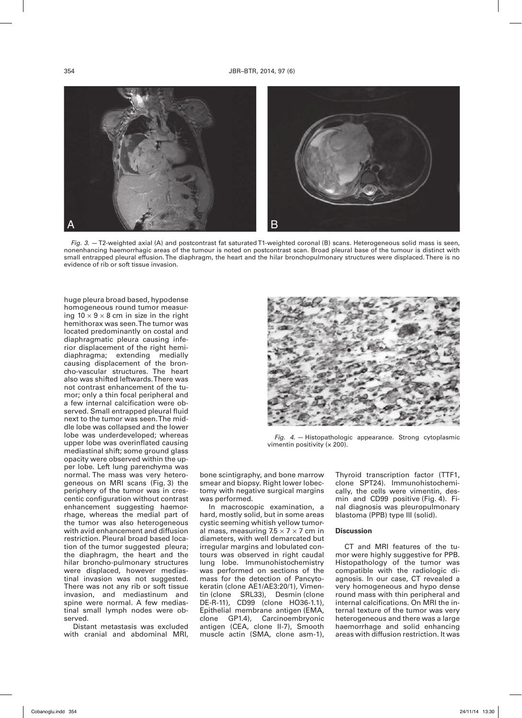

*Fig. 3. —* T2-weighted axial (A) and postcontrast fat saturated T1-weighted coronal (B) scans. Heterogeneous solid mass is seen, nonenhancing haemorrhagic areas of the tumour is noted on postcontrast scan. Broad pleural base of the tumour is distinct with small entrapped pleural effusion. The diaphragm, the heart and the hilar bronchopulmonary structures were displaced. There is no evidence of rib or soft tissue invasion.

huge pleura broad based, hypodense homogeneous round tumor measuring  $10 \times 9 \times 8$  cm in size in the right hemithorax was seen. The tumor was located predominantly on costal and diaphragmatic pleura causing inferior displacement of the right hemidiaphragma; extending medially causing displacement of the broncho-vascular structures. The heart also was shifted leftwards. There was not contrast enhancement of the tumor; only a thin focal peripheral and a few internal calcification were observed. Small entrapped pleural fluid next to the tumor was seen. The middle lobe was collapsed and the lower lobe was underdeveloped; whereas upper lobe was overinflated causing mediastinal shift; some ground glass opacity were observed within the upper lobe. Left lung parenchyma was normal. The mass was very heterogeneous on MRI scans (Fig. 3) the periphery of the tumor was in crescentic configuration without contrast enhancement suggesting haemorrhage, whereas the medial part of the tumor was also heterogeneous with avid enhancement and diffusion restriction. Pleural broad based location of the tumor suggested pleura; the diaphragm, the heart and the hilar broncho-pulmonary structures were displaced, however mediastinal invasion was not suggested. There was not any rib or soft tissue invasion, and mediastinum and spine were normal. A few mediastinal small lymph nodes were observed.

Distant metastasis was excluded with cranial and abdominal MRI,



*Fig. 4. —* Histopathologic appearance. Strong cytoplasmic vimentin positivity (x 200).

bone scintigraphy, and bone marrow smear and biopsy. Right lower lobectomy with negative surgical margins was performed.

In macroscopic examination, a hard, mostly solid, but in some areas cystic seeming whitish yellow tumoral mass, measuring  $7.5 \times 7 \times 7$  cm in diameters, with well demarcated but irregular margins and lobulated contours was observed in right caudal lung lobe. Immunohistochemistry was performed on sections of the mass for the detection of Pancytokeratin (clone AE1/AE3:20/1), Vimentin (clone SRL33), Desmin (clone DE-R-11), CD99 (clone HO36-1.1), Epithelial membrane antigen (EMA, clone GP1.4), Carcinoembryonic antigen (CEA, clone II-7), Smooth muscle actin (SMA, clone asm-1),

Thyroid transcription factor (TTF1, clone SPT24). Immunohistochemically, the cells were vimentin, desmin and CD99 positive (Fig. 4). Final diagnosis was pleuropulmonary blastoma (PPB) type III (solid).

## **Discussion**

CT and MRI features of the tumor were highly suggestive for PPB. Histopathology of the tumor was compatible with the radiologic diagnosis. In our case, CT revealed a very homogeneous and hypo dense round mass with thin peripheral and internal calcifications. On MRI the internal texture of the tumor was very heterogeneous and there was a large haemorrhage and solid enhancing areas with diffusion restriction. It was